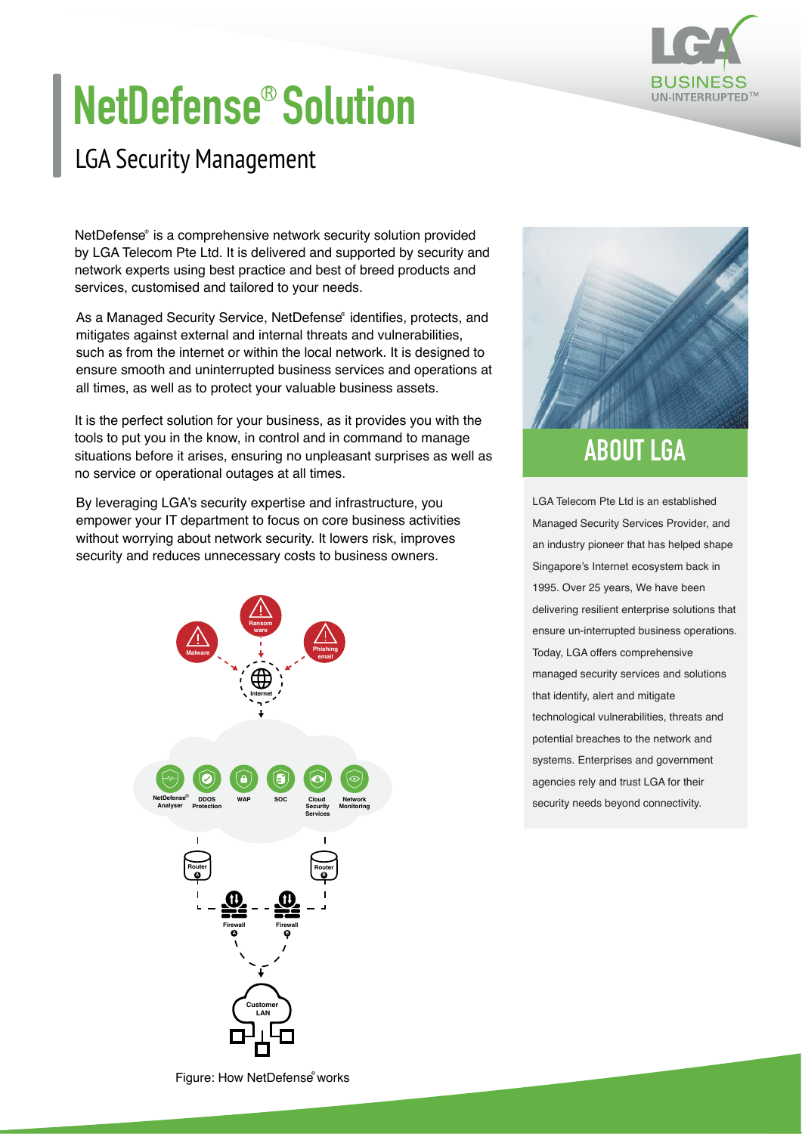

## **NetDefense<sup>®</sup> Solution**

## LGA Security Management

NetDefense® is a comprehensive network security solution provided by LGA Telecom Pte Ltd. It is delivered and supported by security and network experts using best practice and best of breed products and services, customised and tailored to your needs.

As a Managed Security Service, NetDefense® identifies, protects, and mitigates against external and internal threats and vulnerabilities, such as from the internet or within the local network. It is designed to ensure smooth and uninterrupted business services and operations at all times, as well as to protect your valuable business assets.

It is the perfect solution for your business, as it provides you with the tools to put you in the know, in control and in command to manage situations before it arises, ensuring no unpleasant surprises as well as no service or operational outages at all times.

By leveraging LGA's security expertise and infrastructure, you empower your IT department to focus on core business activities without worrying about network security. It lowers risk, improves security and reduces unnecessary costs to business owners.





## **ABOUT LGA**

LGA Telecom Pte Ltd is an established Managed Security Services Provider, and an industry pioneer that has helped shape Singapore's Internet ecosystem back in 1995. Over 25 years, We have been delivering resilient enterprise solutions that ensure un-interrupted business operations. Today, LGA offers comprehensive managed security services and solutions that identify, alert and mitigate technological vulnerabilities, threats and potential breaches to the network and systems. Enterprises and government agencies rely and trust LGA for their security needs beyond connectivity.

Figure: How NetDefense works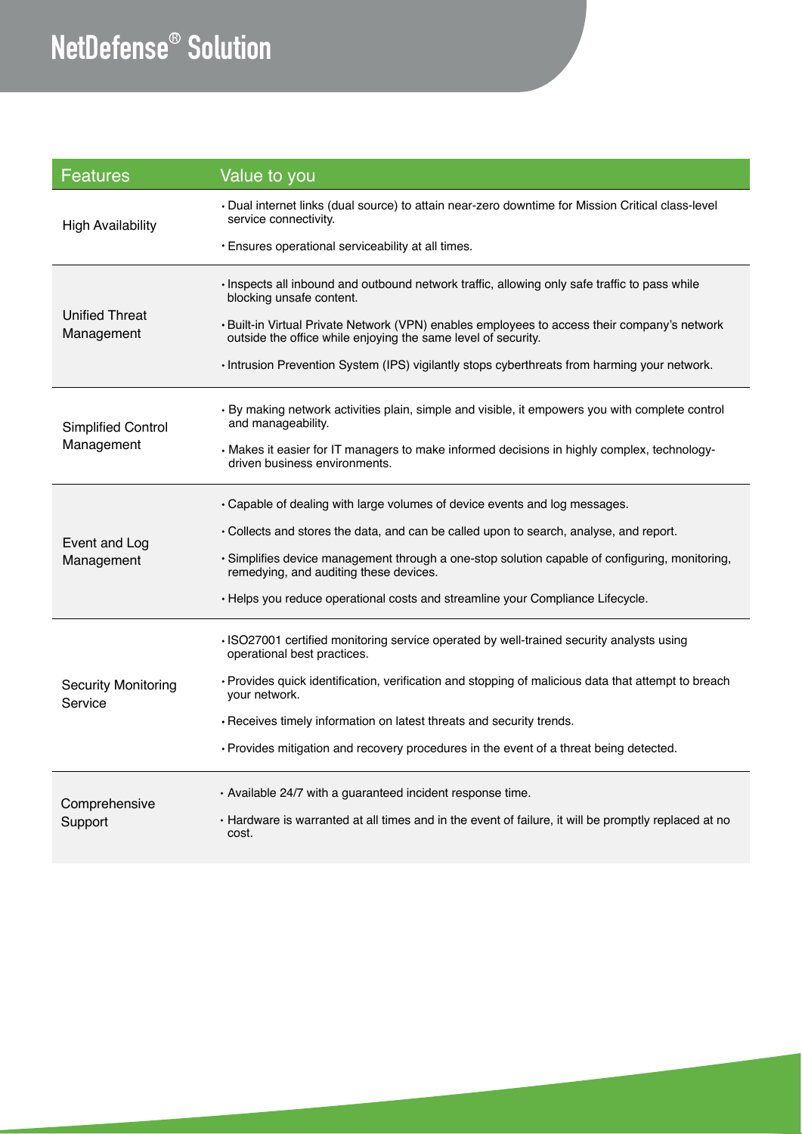## **NetDefense<sup>®</sup> Solution**

| <b>Features</b>                         | Value to you                                                                                                                                                                                                              |
|-----------------------------------------|---------------------------------------------------------------------------------------------------------------------------------------------------------------------------------------------------------------------------|
| <b>High Availability</b>                | Dual internet links (dual source) to attain near-zero downtime for Mission Critical class-level •<br>service connectivity.<br>• Ensures operational serviceability at all times.                                          |
|                                         |                                                                                                                                                                                                                           |
| <b>Unified Threat</b><br>Management     | · Inspects all inbound and outbound network traffic, allowing only safe traffic to pass while<br>blocking unsafe content.<br>. Built-in Virtual Private Network (VPN) enables employees to access their company's network |
|                                         | outside the office while enjoying the same level of security.                                                                                                                                                             |
|                                         | · Intrusion Prevention System (IPS) vigilantly stops cyberthreats from harming your network.                                                                                                                              |
| <b>Simplified Control</b><br>Management | • By making network activities plain, simple and visible, it empowers you with complete control<br>and manageability.                                                                                                     |
|                                         | • Makes it easier for IT managers to make informed decisions in highly complex, technology-<br>driven business environments.                                                                                              |
| Event and Log<br>Management             | • Capable of dealing with large volumes of device events and log messages.                                                                                                                                                |
|                                         | • Collects and stores the data, and can be called upon to search, analyse, and report.                                                                                                                                    |
|                                         | · Simplifies device management through a one-stop solution capable of configuring, monitoring,<br>remedying, and auditing these devices.                                                                                  |
|                                         | • Helps you reduce operational costs and streamline your Compliance Lifecycle.                                                                                                                                            |
| <b>Security Monitoring</b><br>Service   | · ISO27001 certified monitoring service operated by well-trained security analysts using<br>operational best practices.                                                                                                   |
|                                         | • Provides quick identification, verification and stopping of malicious data that attempt to breach<br>vour network.                                                                                                      |
|                                         | • Receives timely information on latest threats and security trends.                                                                                                                                                      |
|                                         | · Provides mitigation and recovery procedures in the event of a threat being detected.                                                                                                                                    |
| Comprehensive<br>Support                | · Available 24/7 with a guaranteed incident response time.                                                                                                                                                                |
|                                         | • Hardware is warranted at all times and in the event of failure, it will be promptly replaced at no<br>cost.                                                                                                             |